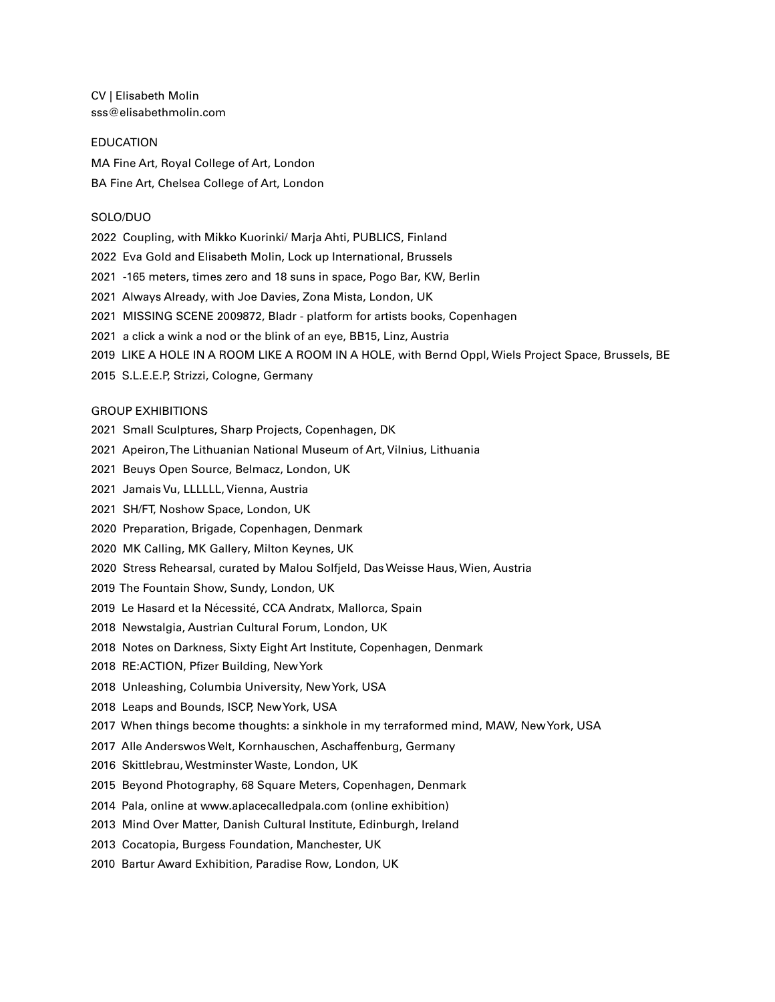CV | Elisabeth Molin sss@elisabethmolin.com

#### EDUCATION

MA Fine Art, Royal College of Art, London BA Fine Art, Chelsea College of Art, London

### SOLO/DUO

- 2022 Coupling, with Mikko Kuorinki/ Marja Ahti, PUBLICS, Finland
- 2022 Eva Gold and Elisabeth Molin, Lock up International, Brussels
- 2021 -165 meters, times zero and 18 suns in space, Pogo Bar, KW, Berlin
- 2021 Always Already, with Joe Davies, Zona Mista, London, UK
- 2021 MISSING SCENE 2009872, Bladr platform for artists books, Copenhagen
- 2021 a click a wink a nod or the blink of an eye, BB15, Linz, Austria
- 2019 LIKE A HOLE IN A ROOM LIKE A ROOM IN A HOLE, with Bernd Oppl, Wiels Project Space, Brussels, BE
- 2015 S.L.E.E.P, Strizzi, Cologne, Germany

#### GROUP EXHIBITIONS

- 2021 Small Sculptures, Sharp Projects, Copenhagen, DK
- 2021 Apeiron, The Lithuanian National Museum of Art, Vilnius, Lithuania
- 2021 Beuys Open Source, Belmacz, London, UK
- 2021 Jamais Vu, LLLLLL, Vienna, Austria
- 2021 SH/FT, Noshow Space, London, UK
- 2020 Preparation, Brigade, Copenhagen, Denmark
- 2020 MK Calling, MK Gallery, Milton Keynes, UK
- 2020 Stress Rehearsal, curated by Malou Solfjeld, Das Weisse Haus, Wien, Austria
- 2019 The Fountain Show, Sundy, London, UK
- 2019 Le Hasard et la Nécessité, CCA Andratx, Mallorca, Spain
- 2018 Newstalgia, Austrian Cultural Forum, London, UK
- 2018 Notes on Darkness, Sixty Eight Art Institute, Copenhagen, Denmark
- 2018 RE:ACTION, Pfizer Building, New York
- 2018 Unleashing, Columbia University, New York, USA
- 2018 Leaps and Bounds, ISCP, New York, USA
- 2017 When things become thoughts: a sinkhole in my terraformed mind, MAW, New York, USA
- 2017 Alle Anderswos Welt, Kornhauschen, Aschaffenburg, Germany
- 2016 Skittlebrau, Westminster Waste, London, UK
- 2015 Beyond Photography, 68 Square Meters, Copenhagen, Denmark
- 2014 Pala, online at www.aplacecalledpala.com (online exhibition)
- 2013 Mind Over Matter, Danish Cultural Institute, Edinburgh, Ireland
- 2013 Cocatopia, Burgess Foundation, Manchester, UK
- 2010 Bartur Award Exhibition, Paradise Row, London, UK